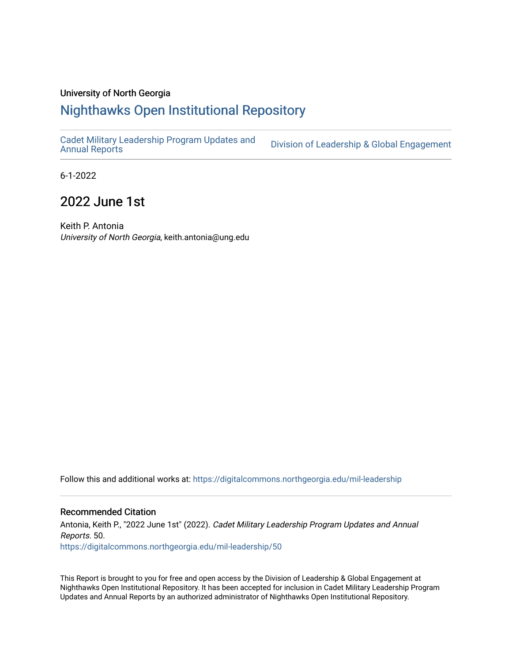#### University of North Georgia

## [Nighthawks Open Institutional Repository](https://digitalcommons.northgeorgia.edu/)

[Cadet Military Leadership Program Updates and](https://digitalcommons.northgeorgia.edu/mil-leadership) 

Division of Leadership & Global Engagement

6-1-2022

## 2022 June 1st

Keith P. Antonia University of North Georgia, keith.antonia@ung.edu

Follow this and additional works at: [https://digitalcommons.northgeorgia.edu/mil-leadership](https://digitalcommons.northgeorgia.edu/mil-leadership?utm_source=digitalcommons.northgeorgia.edu%2Fmil-leadership%2F50&utm_medium=PDF&utm_campaign=PDFCoverPages) 

#### Recommended Citation

Antonia, Keith P., "2022 June 1st" (2022). Cadet Military Leadership Program Updates and Annual Reports. 50. [https://digitalcommons.northgeorgia.edu/mil-leadership/50](https://digitalcommons.northgeorgia.edu/mil-leadership/50?utm_source=digitalcommons.northgeorgia.edu%2Fmil-leadership%2F50&utm_medium=PDF&utm_campaign=PDFCoverPages)

This Report is brought to you for free and open access by the Division of Leadership & Global Engagement at Nighthawks Open Institutional Repository. It has been accepted for inclusion in Cadet Military Leadership Program Updates and Annual Reports by an authorized administrator of Nighthawks Open Institutional Repository.